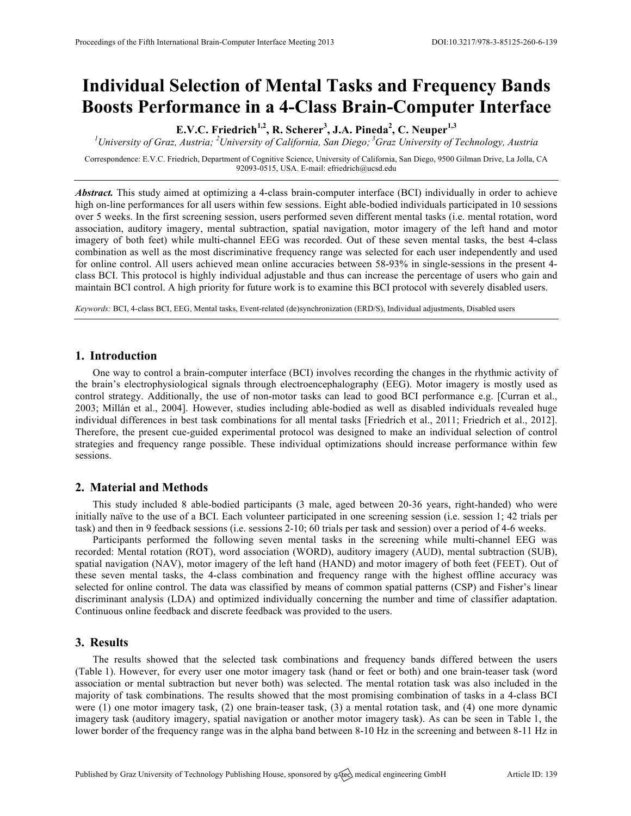# **Individual Selection of Mental Tasks and Frequency Bands Boosts Performance in a 4-Class Brain-Computer Interface**

**E.V.C. Friedrich1,2, R. Scherer3 , J.A. Pineda<sup>2</sup> , C. Neuper1,3**

*1 University of Graz, Austria; <sup>2</sup> University of California, San Diego; <sup>3</sup> Graz University of Technology, Austria*

Correspondence: E.V.C. Friedrich, Department of Cognitive Science, University of California, San Diego, 9500 Gilman Drive, La Jolla, CA 92093-0515, USA. E-mail: efriedrich@ucsd.edu

*Abstract.* This study aimed at optimizing a 4-class brain-computer interface (BCI) individually in order to achieve high on-line performances for all users within few sessions. Eight able-bodied individuals participated in 10 sessions over 5 weeks. In the first screening session, users performed seven different mental tasks (i.e. mental rotation, word association, auditory imagery, mental subtraction, spatial navigation, motor imagery of the left hand and motor imagery of both feet) while multi-channel EEG was recorded. Out of these seven mental tasks, the best 4-class combination as well as the most discriminative frequency range was selected for each user independently and used for online control. All users achieved mean online accuracies between 58-93% in single-sessions in the present 4 class BCI. This protocol is highly individual adjustable and thus can increase the percentage of users who gain and maintain BCI control. A high priority for future work is to examine this BCI protocol with severely disabled users.

*Keywords:* BCI, 4-class BCI, EEG, Mental tasks, Event-related (de)synchronization (ERD/S), Individual adjustments, Disabled users

### **1. Introduction**

One way to control a brain-computer interface (BCI) involves recording the changes in the rhythmic activity of the brain's electrophysiological signals through electroencephalography (EEG). Motor imagery is mostly used as control strategy. Additionally, the use of non-motor tasks can lead to good BCI performance e.g. [Curran et al., 2003; Millán et al., 2004]. However, studies including able-bodied as well as disabled individuals revealed huge individual differences in best task combinations for all mental tasks [Friedrich et al., 2011; Friedrich et al., 2012]. Therefore, the present cue-guided experimental protocol was designed to make an individual selection of control strategies and frequency range possible. These individual optimizations should increase performance within few sessions.

# **2. Material and Methods**

This study included 8 able-bodied participants (3 male, aged between 20-36 years, right-handed) who were initially naïve to the use of a BCI. Each volunteer participated in one screening session (i.e. session 1; 42 trials per task) and then in 9 feedback sessions (i.e. sessions 2-10; 60 trials per task and session) over a period of 4-6 weeks.

Participants performed the following seven mental tasks in the screening while multi-channel EEG was recorded: Mental rotation (ROT), word association (WORD), auditory imagery (AUD), mental subtraction (SUB), spatial navigation (NAV), motor imagery of the left hand (HAND) and motor imagery of both feet (FEET). Out of these seven mental tasks, the 4-class combination and frequency range with the highest offline accuracy was selected for online control. The data was classified by means of common spatial patterns (CSP) and Fisher's linear discriminant analysis (LDA) and optimized individually concerning the number and time of classifier adaptation. Continuous online feedback and discrete feedback was provided to the users.

## **3. Results**

The results showed that the selected task combinations and frequency bands differed between the users (Table 1). However, for every user one motor imagery task (hand or feet or both) and one brain-teaser task (word association or mental subtraction but never both) was selected. The mental rotation task was also included in the majority of task combinations. The results showed that the most promising combination of tasks in a 4-class BCI were (1) one motor imagery task, (2) one brain-teaser task, (3) a mental rotation task, and (4) one more dynamic imagery task (auditory imagery, spatial navigation or another motor imagery task). As can be seen in Table 1, the lower border of the frequency range was in the alpha band between 8-10 Hz in the screening and between 8-11 Hz in